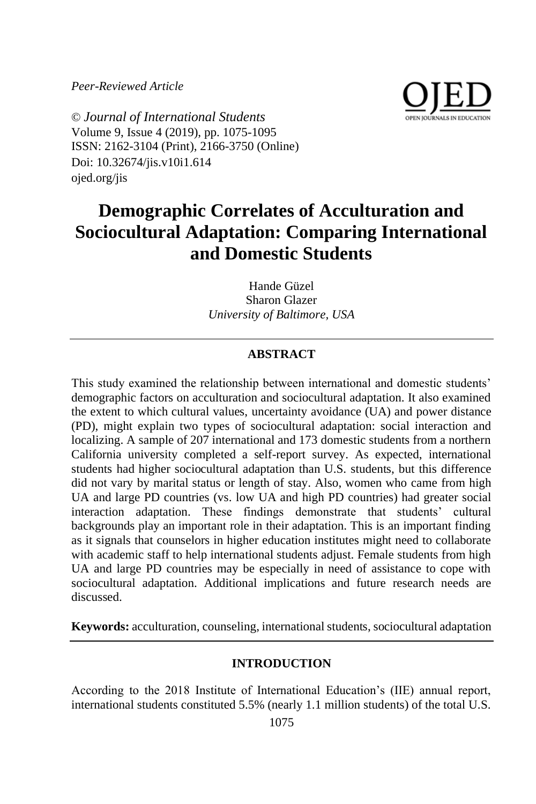*Peer-Reviewed Article*



© *Journal of International Students* Volume 9, Issue 4 (2019), pp. 1075-1095 ISSN: 2162-3104 (Print), 2166-3750 (Online) Doi: 10.32674/jis.v10i1.614 ojed.org/jis

# **Demographic Correlates of Acculturation and Sociocultural Adaptation: Comparing International and Domestic Students**

Hande Güzel Sharon Glazer *University of Baltimore, USA*

## **ABSTRACT**

This study examined the relationship between international and domestic students' demographic factors on acculturation and sociocultural adaptation. It also examined the extent to which cultural values, uncertainty avoidance (UA) and power distance (PD), might explain two types of sociocultural adaptation: social interaction and localizing. A sample of 207 international and 173 domestic students from a northern California university completed a self-report survey. As expected, international students had higher sociocultural adaptation than U.S. students, but this difference did not vary by marital status or length of stay. Also, women who came from high UA and large PD countries (vs. low UA and high PD countries) had greater social interaction adaptation. These findings demonstrate that students' cultural backgrounds play an important role in their adaptation. This is an important finding as it signals that counselors in higher education institutes might need to collaborate with academic staff to help international students adjust. Female students from high UA and large PD countries may be especially in need of assistance to cope with sociocultural adaptation. Additional implications and future research needs are discussed.

**Keywords:** acculturation, counseling, international students, sociocultural adaptation

## **INTRODUCTION**

According to the 2018 Institute of International Education's (IIE) annual report, international students constituted 5.5% (nearly 1.1 million students) of the total U.S.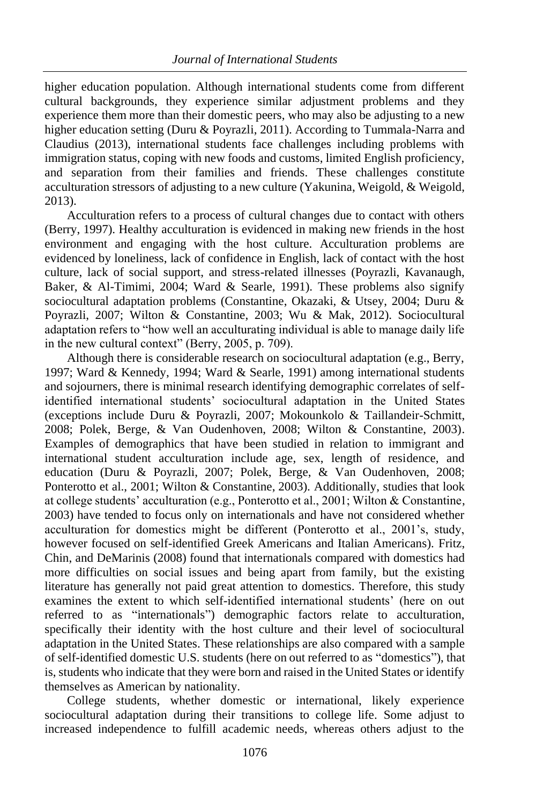higher education population. Although international students come from different cultural backgrounds, they experience similar adjustment problems and they experience them more than their domestic peers, who may also be adjusting to a new higher education setting (Duru & Poyrazli, 2011). According to Tummala-Narra and Claudius (2013), international students face challenges including problems with immigration status, coping with new foods and customs, limited English proficiency, and separation from their families and friends. These challenges constitute acculturation stressors of adjusting to a new culture (Yakunina, Weigold, & Weigold, 2013).

Acculturation refers to a process of cultural changes due to contact with others (Berry, 1997). Healthy acculturation is evidenced in making new friends in the host environment and engaging with the host culture. Acculturation problems are evidenced by loneliness, lack of confidence in English, lack of contact with the host culture, lack of social support, and stress-related illnesses (Poyrazli, Kavanaugh, Baker,  $\&$  Al-Timimi, 2004; Ward  $\&$  Searle, 1991). These problems also signify sociocultural adaptation problems (Constantine, Okazaki, & Utsey, 2004; Duru & Poyrazli, 2007; Wilton & Constantine, 2003; Wu & Mak, 2012). Sociocultural adaptation refers to "how well an acculturating individual is able to manage daily life in the new cultural context" (Berry, 2005, p. 709).

Although there is considerable research on sociocultural adaptation (e.g., Berry, 1997; Ward & Kennedy, 1994; Ward & Searle, 1991) among international students and sojourners, there is minimal research identifying demographic correlates of selfidentified international students' sociocultural adaptation in the United States (exceptions include Duru & Poyrazli, 2007; Mokounkolo & Taillandeir-Schmitt, 2008; Polek, Berge, & Van Oudenhoven, 2008; Wilton & Constantine, 2003). Examples of demographics that have been studied in relation to immigrant and international student acculturation include age, sex, length of residence, and education (Duru & Poyrazli, 2007; Polek, Berge, & Van Oudenhoven, 2008; Ponterotto et al., 2001; Wilton & Constantine, 2003). Additionally, studies that look at college students' acculturation (e.g., Ponterotto et al., 2001; Wilton & Constantine, 2003) have tended to focus only on internationals and have not considered whether acculturation for domestics might be different (Ponterotto et al., 2001's, study, however focused on self-identified Greek Americans and Italian Americans). Fritz, Chin, and DeMarinis (2008) found that internationals compared with domestics had more difficulties on social issues and being apart from family, but the existing literature has generally not paid great attention to domestics. Therefore, this study examines the extent to which self-identified international students' (here on out referred to as "internationals") demographic factors relate to acculturation, specifically their identity with the host culture and their level of sociocultural adaptation in the United States. These relationships are also compared with a sample of self-identified domestic U.S. students (here on out referred to as "domestics"), that is, students who indicate that they were born and raised in the United States or identify themselves as American by nationality.

College students, whether domestic or international, likely experience sociocultural adaptation during their transitions to college life. Some adjust to increased independence to fulfill academic needs, whereas others adjust to the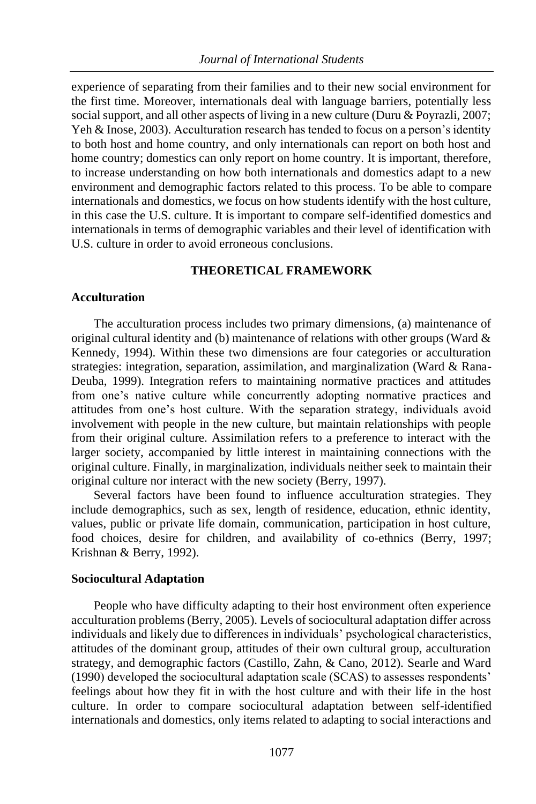experience of separating from their families and to their new social environment for the first time. Moreover, internationals deal with language barriers, potentially less social support, and all other aspects of living in a new culture (Duru & Poyrazli, 2007; Yeh & Inose, 2003). Acculturation research has tended to focus on a person's identity to both host and home country, and only internationals can report on both host and home country; domestics can only report on home country. It is important, therefore, to increase understanding on how both internationals and domestics adapt to a new environment and demographic factors related to this process. To be able to compare internationals and domestics, we focus on how students identify with the host culture, in this case the U.S. culture. It is important to compare self-identified domestics and internationals in terms of demographic variables and their level of identification with U.S. culture in order to avoid erroneous conclusions.

#### **THEORETICAL FRAMEWORK**

#### **Acculturation**

The acculturation process includes two primary dimensions, (a) maintenance of original cultural identity and (b) maintenance of relations with other groups (Ward & Kennedy, 1994). Within these two dimensions are four categories or acculturation strategies: integration, separation, assimilation, and marginalization (Ward & Rana-Deuba, 1999). Integration refers to maintaining normative practices and attitudes from one's native culture while concurrently adopting normative practices and attitudes from one's host culture. With the separation strategy, individuals avoid involvement with people in the new culture, but maintain relationships with people from their original culture. Assimilation refers to a preference to interact with the larger society, accompanied by little interest in maintaining connections with the original culture. Finally, in marginalization, individuals neither seek to maintain their original culture nor interact with the new society (Berry, 1997).

Several factors have been found to influence acculturation strategies. They include demographics, such as sex, length of residence, education, ethnic identity, values, public or private life domain, communication, participation in host culture, food choices, desire for children, and availability of co-ethnics (Berry, 1997; Krishnan & Berry, 1992).

#### **Sociocultural Adaptation**

People who have difficulty adapting to their host environment often experience acculturation problems (Berry, 2005). Levels of sociocultural adaptation differ across individuals and likely due to differences in individuals' psychological characteristics, attitudes of the dominant group, attitudes of their own cultural group, acculturation strategy, and demographic factors (Castillo, Zahn, & Cano, 2012). Searle and Ward (1990) developed the sociocultural adaptation scale (SCAS) to assesses respondents' feelings about how they fit in with the host culture and with their life in the host culture. In order to compare sociocultural adaptation between self-identified internationals and domestics, only items related to adapting to social interactions and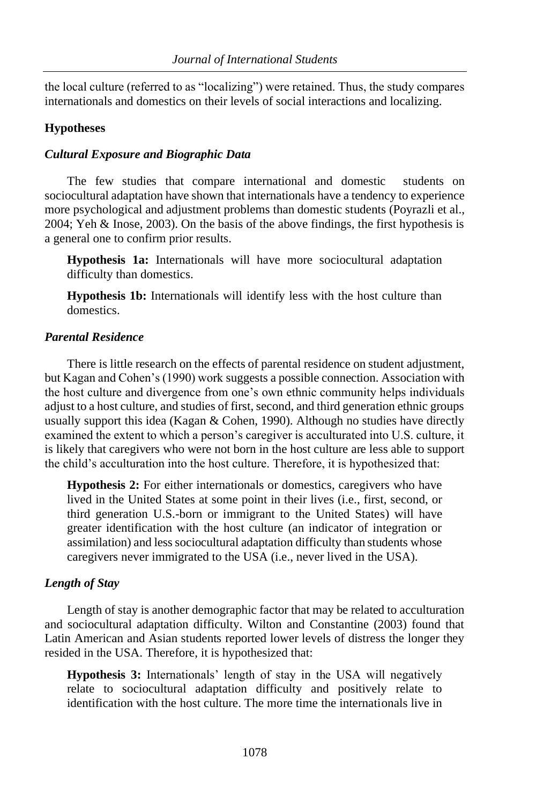the local culture (referred to as "localizing") were retained. Thus, the study compares internationals and domestics on their levels of social interactions and localizing.

## **Hypotheses**

## *Cultural Exposure and Biographic Data*

The few studies that compare international and domestic students on sociocultural adaptation have shown that internationals have a tendency to experience more psychological and adjustment problems than domestic students (Poyrazli et al., 2004; Yeh & Inose, 2003). On the basis of the above findings, the first hypothesis is a general one to confirm prior results.

**Hypothesis 1a:** Internationals will have more sociocultural adaptation difficulty than domestics.

**Hypothesis 1b:** Internationals will identify less with the host culture than domestics.

## *Parental Residence*

There is little research on the effects of parental residence on student adjustment, but Kagan and Cohen's (1990) work suggests a possible connection. Association with the host culture and divergence from one's own ethnic community helps individuals adjust to a host culture, and studies of first, second, and third generation ethnic groups usually support this idea (Kagan & Cohen, 1990). Although no studies have directly examined the extent to which a person's caregiver is acculturated into U.S. culture, it is likely that caregivers who were not born in the host culture are less able to support the child's acculturation into the host culture. Therefore, it is hypothesized that:

**Hypothesis 2:** For either internationals or domestics, caregivers who have lived in the United States at some point in their lives (i.e., first, second, or third generation U.S.-born or immigrant to the United States) will have greater identification with the host culture (an indicator of integration or assimilation) and less sociocultural adaptation difficulty than students whose caregivers never immigrated to the USA (i.e., never lived in the USA).

## *Length of Stay*

Length of stay is another demographic factor that may be related to acculturation and sociocultural adaptation difficulty. Wilton and Constantine (2003) found that Latin American and Asian students reported lower levels of distress the longer they resided in the USA. Therefore, it is hypothesized that:

**Hypothesis 3:** Internationals' length of stay in the USA will negatively relate to sociocultural adaptation difficulty and positively relate to identification with the host culture. The more time the internationals live in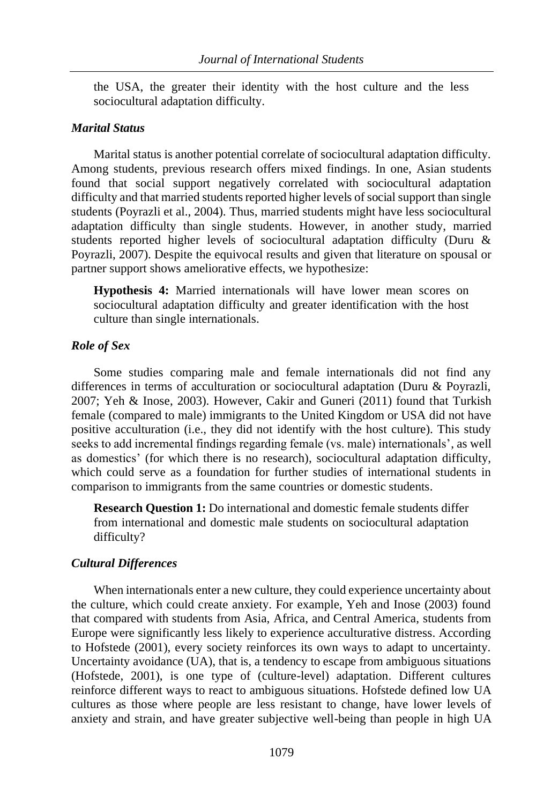the USA, the greater their identity with the host culture and the less sociocultural adaptation difficulty.

## *Marital Status*

Marital status is another potential correlate of sociocultural adaptation difficulty. Among students, previous research offers mixed findings. In one, Asian students found that social support negatively correlated with sociocultural adaptation difficulty and that married students reported higher levels of social support than single students (Poyrazli et al., 2004). Thus, married students might have less sociocultural adaptation difficulty than single students. However, in another study, married students reported higher levels of sociocultural adaptation difficulty (Duru & Poyrazli, 2007). Despite the equivocal results and given that literature on spousal or partner support shows ameliorative effects, we hypothesize:

**Hypothesis 4:** Married internationals will have lower mean scores on sociocultural adaptation difficulty and greater identification with the host culture than single internationals.

#### *Role of Sex*

Some studies comparing male and female internationals did not find any differences in terms of acculturation or sociocultural adaptation (Duru & Poyrazli, 2007; Yeh & Inose, 2003). However, Cakir and Guneri (2011) found that Turkish female (compared to male) immigrants to the United Kingdom or USA did not have positive acculturation (i.e., they did not identify with the host culture). This study seeks to add incremental findings regarding female (vs. male) internationals', as well as domestics' (for which there is no research), sociocultural adaptation difficulty, which could serve as a foundation for further studies of international students in comparison to immigrants from the same countries or domestic students.

**Research Question 1:** Do international and domestic female students differ from international and domestic male students on sociocultural adaptation difficulty?

#### *Cultural Differences*

When internationals enter a new culture, they could experience uncertainty about the culture, which could create anxiety. For example, Yeh and Inose (2003) found that compared with students from Asia, Africa, and Central America, students from Europe were significantly less likely to experience acculturative distress. According to Hofstede (2001), every society reinforces its own ways to adapt to uncertainty. Uncertainty avoidance (UA), that is, a tendency to escape from ambiguous situations (Hofstede, 2001), is one type of (culture-level) adaptation. Different cultures reinforce different ways to react to ambiguous situations. Hofstede defined low UA cultures as those where people are less resistant to change, have lower levels of anxiety and strain, and have greater subjective well-being than people in high UA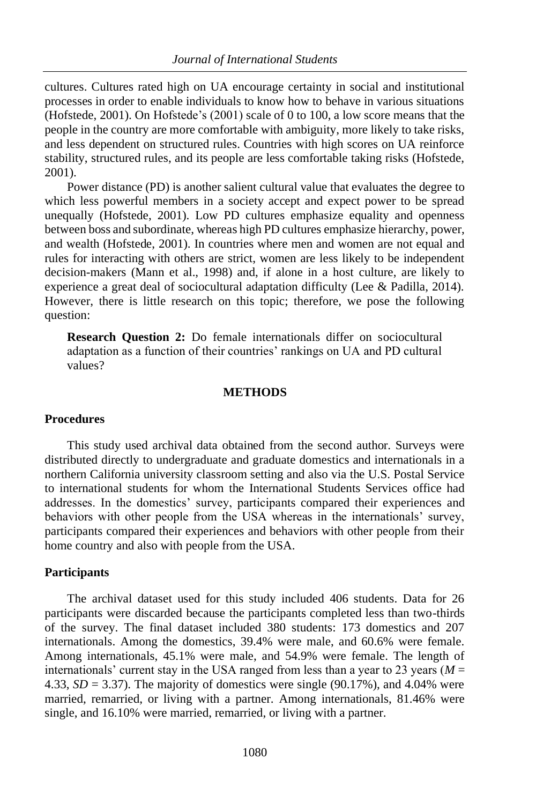cultures. Cultures rated high on UA encourage certainty in social and institutional processes in order to enable individuals to know how to behave in various situations (Hofstede, 2001). On Hofstede's (2001) scale of 0 to 100, a low score means that the people in the country are more comfortable with ambiguity, more likely to take risks, and less dependent on structured rules. Countries with high scores on UA reinforce stability, structured rules, and its people are less comfortable taking risks (Hofstede, 2001).

Power distance (PD) is another salient cultural value that evaluates the degree to which less powerful members in a society accept and expect power to be spread unequally (Hofstede, 2001). Low PD cultures emphasize equality and openness between boss and subordinate, whereas high PD cultures emphasize hierarchy, power, and wealth (Hofstede, 2001). In countries where men and women are not equal and rules for interacting with others are strict, women are less likely to be independent decision-makers (Mann et al., 1998) and, if alone in a host culture, are likely to experience a great deal of sociocultural adaptation difficulty (Lee & Padilla, 2014). However, there is little research on this topic; therefore, we pose the following question:

**Research Question 2:** Do female internationals differ on sociocultural adaptation as a function of their countries' rankings on UA and PD cultural values?

#### **METHODS**

### **Procedures**

This study used archival data obtained from the second author. Surveys were distributed directly to undergraduate and graduate domestics and internationals in a northern California university classroom setting and also via the U.S. Postal Service to international students for whom the International Students Services office had addresses. In the domestics' survey, participants compared their experiences and behaviors with other people from the USA whereas in the internationals' survey, participants compared their experiences and behaviors with other people from their home country and also with people from the USA.

#### **Participants**

The archival dataset used for this study included 406 students. Data for 26 participants were discarded because the participants completed less than two-thirds of the survey. The final dataset included 380 students: 173 domestics and 207 internationals. Among the domestics, 39.4% were male, and 60.6% were female. Among internationals, 45.1% were male, and 54.9% were female. The length of internationals' current stay in the USA ranged from less than a year to 23 years ( $M =$ 4.33,  $SD = 3.37$ ). The majority of domestics were single (90.17%), and 4.04% were married, remarried, or living with a partner. Among internationals, 81.46% were single, and 16.10% were married, remarried, or living with a partner.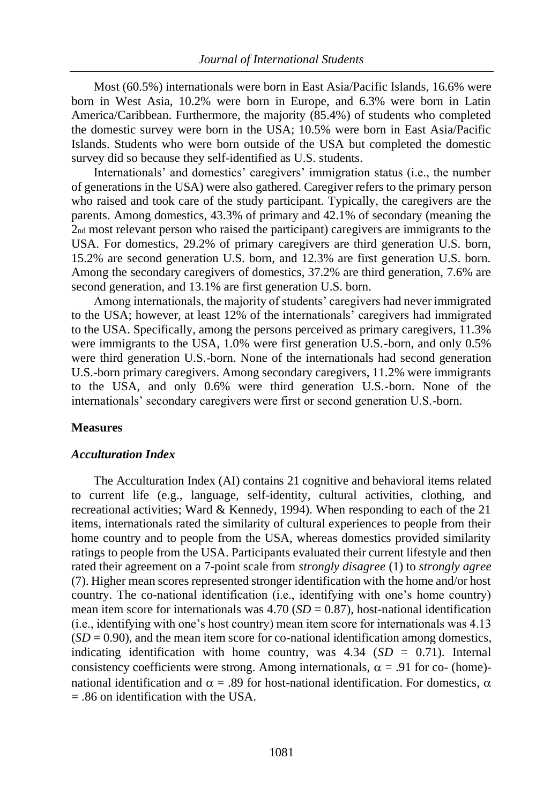Most (60.5%) internationals were born in East Asia/Pacific Islands, 16.6% were born in West Asia, 10.2% were born in Europe, and 6.3% were born in Latin America/Caribbean. Furthermore, the majority (85.4%) of students who completed the domestic survey were born in the USA; 10.5% were born in East Asia/Pacific Islands. Students who were born outside of the USA but completed the domestic survey did so because they self-identified as U.S. students.

Internationals' and domestics' caregivers' immigration status (i.e., the number of generations in the USA) were also gathered. Caregiver refers to the primary person who raised and took care of the study participant. Typically, the caregivers are the parents. Among domestics, 43.3% of primary and 42.1% of secondary (meaning the 2nd most relevant person who raised the participant) caregivers are immigrants to the USA. For domestics, 29.2% of primary caregivers are third generation U.S. born, 15.2% are second generation U.S. born, and 12.3% are first generation U.S. born. Among the secondary caregivers of domestics, 37.2% are third generation, 7.6% are second generation, and 13.1% are first generation U.S. born.

Among internationals, the majority of students' caregivers had never immigrated to the USA; however, at least 12% of the internationals' caregivers had immigrated to the USA. Specifically, among the persons perceived as primary caregivers, 11.3% were immigrants to the USA, 1.0% were first generation U.S.-born, and only 0.5% were third generation U.S.-born. None of the internationals had second generation U.S.-born primary caregivers. Among secondary caregivers, 11.2% were immigrants to the USA, and only 0.6% were third generation U.S.-born. None of the internationals' secondary caregivers were first or second generation U.S.-born.

#### **Measures**

## *Acculturation Index*

The Acculturation Index (AI) contains 21 cognitive and behavioral items related to current life (e.g., language, self-identity, cultural activities, clothing, and recreational activities; Ward & Kennedy, 1994). When responding to each of the 21 items, internationals rated the similarity of cultural experiences to people from their home country and to people from the USA, whereas domestics provided similarity ratings to people from the USA. Participants evaluated their current lifestyle and then rated their agreement on a 7-point scale from *strongly disagree* (1) to *strongly agree*  (7). Higher mean scores represented stronger identification with the home and/or host country. The co-national identification (i.e., identifying with one's home country) mean item score for internationals was  $4.70$  ( $SD = 0.87$ ), host-national identification (i.e., identifying with one's host country) mean item score for internationals was 4.13  $(SD = 0.90)$ , and the mean item score for co-national identification among domestics, indicating identification with home country, was  $4.34$  (*SD* = 0.71). Internal consistency coefficients were strong. Among internationals,  $\alpha = .91$  for co- (home)national identification and  $\alpha = .89$  for host-national identification. For domestics,  $\alpha$ = .86 on identification with the USA.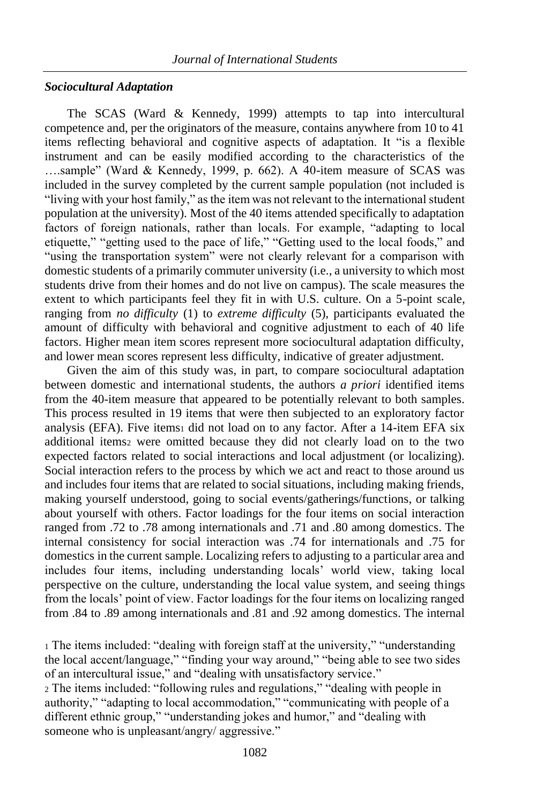## *Sociocultural Adaptation*

The SCAS (Ward & Kennedy, 1999) attempts to tap into intercultural competence and, per the originators of the measure, contains anywhere from 10 to 41 items reflecting behavioral and cognitive aspects of adaptation. It "is a flexible instrument and can be easily modified according to the characteristics of the ….sample" (Ward & Kennedy, 1999, p. 662). A 40-item measure of SCAS was included in the survey completed by the current sample population (not included is "living with your host family," as the item was not relevant to the international student population at the university). Most of the 40 items attended specifically to adaptation factors of foreign nationals, rather than locals. For example, "adapting to local etiquette," "getting used to the pace of life," "Getting used to the local foods," and "using the transportation system" were not clearly relevant for a comparison with domestic students of a primarily commuter university (i.e., a university to which most students drive from their homes and do not live on campus). The scale measures the extent to which participants feel they fit in with U.S. culture. On a 5-point scale, ranging from *no difficulty* (1) to *extreme difficulty* (5), participants evaluated the amount of difficulty with behavioral and cognitive adjustment to each of 40 life factors. Higher mean item scores represent more sociocultural adaptation difficulty, and lower mean scores represent less difficulty, indicative of greater adjustment.

Given the aim of this study was, in part, to compare sociocultural adaptation between domestic and international students, the authors *a priori* identified items from the 40-item measure that appeared to be potentially relevant to both samples. This process resulted in 19 items that were then subjected to an exploratory factor analysis (EFA). Five items1 did not load on to any factor. After a 14-item EFA six additional items2 were omitted because they did not clearly load on to the two expected factors related to social interactions and local adjustment (or localizing). Social interaction refers to the process by which we act and react to those around us and includes four items that are related to social situations, including making friends, making yourself understood, going to social events/gatherings/functions, or talking about yourself with others. Factor loadings for the four items on social interaction ranged from .72 to .78 among internationals and .71 and .80 among domestics. The internal consistency for social interaction was .74 for internationals and .75 for domestics in the current sample. Localizing refers to adjusting to a particular area and includes four items, including understanding locals' world view, taking local perspective on the culture, understanding the local value system, and seeing things from the locals' point of view. Factor loadings for the four items on localizing ranged from .84 to .89 among internationals and .81 and .92 among domestics. The internal

<sup>1</sup> The items included: "dealing with foreign staff at the university," "understanding the local accent/language," "finding your way around," "being able to see two sides of an intercultural issue," and "dealing with unsatisfactory service." <sup>2</sup> The items included: "following rules and regulations," "dealing with people in authority," "adapting to local accommodation," "communicating with people of a different ethnic group," "understanding jokes and humor," and "dealing with someone who is unpleasant/angry/ aggressive."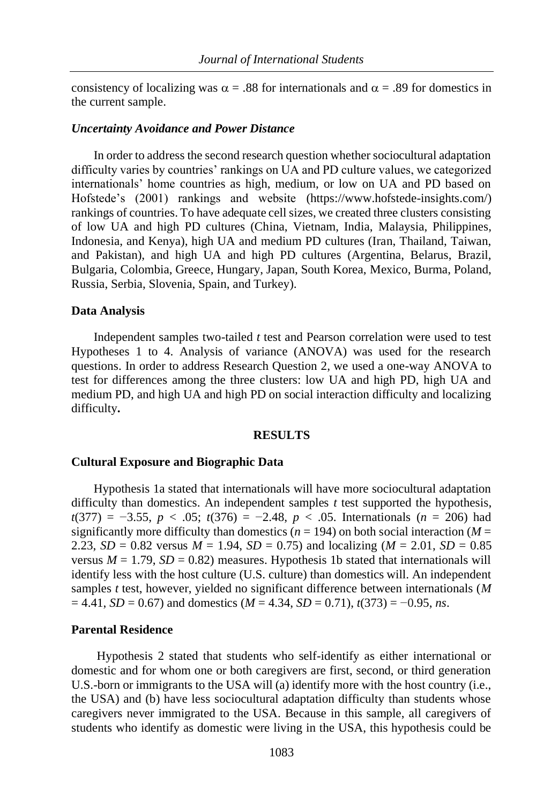consistency of localizing was  $\alpha = .88$  for internationals and  $\alpha = .89$  for domestics in the current sample.

#### *Uncertainty Avoidance and Power Distance*

In order to address the second research question whether sociocultural adaptation difficulty varies by countries' rankings on UA and PD culture values, we categorized internationals' home countries as high, medium, or low on UA and PD based on Hofstede's (2001) rankings and website (https://www.hofstede-insights.com/) rankings of countries. To have adequate cell sizes, we created three clusters consisting of low UA and high PD cultures (China, Vietnam, India, Malaysia, Philippines, Indonesia, and Kenya), high UA and medium PD cultures (Iran, Thailand, Taiwan, and Pakistan), and high UA and high PD cultures (Argentina, Belarus, Brazil, Bulgaria, Colombia, Greece, Hungary, Japan, South Korea, Mexico, Burma, Poland, Russia, Serbia, Slovenia, Spain, and Turkey).

#### **Data Analysis**

Independent samples two-tailed *t* test and Pearson correlation were used to test Hypotheses 1 to 4. Analysis of variance (ANOVA) was used for the research questions. In order to address Research Question 2, we used a one-way ANOVA to test for differences among the three clusters: low UA and high PD, high UA and medium PD, and high UA and high PD on social interaction difficulty and localizing difficulty**.** 

#### **RESULTS**

#### **Cultural Exposure and Biographic Data**

Hypothesis 1a stated that internationals will have more sociocultural adaptation difficulty than domestics. An independent samples *t* test supported the hypothesis, *t*(377) = −3.55, *p* < .05; *t*(376) = −2.48, *p* < .05. Internationals (*n* = 206) had significantly more difficulty than domestics ( $n = 194$ ) on both social interaction ( $M =$ 2.23,  $SD = 0.82$  versus  $M = 1.94$ ,  $SD = 0.75$ ) and localizing ( $M = 2.01$ ,  $SD = 0.85$ ) versus  $M = 1.79$ ,  $SD = 0.82$ ) measures. Hypothesis 1b stated that internationals will identify less with the host culture (U.S. culture) than domestics will. An independent samples *t* test, however, yielded no significant difference between internationals (*M*  = 4.41, *SD* = 0.67) and domestics (*M* = 4.34, *SD* = 0.71), *t*(373) = −0.95, *ns*.

#### **Parental Residence**

Hypothesis 2 stated that students who self-identify as either international or domestic and for whom one or both caregivers are first, second, or third generation U.S.-born or immigrants to the USA will (a) identify more with the host country (i.e., the USA) and (b) have less sociocultural adaptation difficulty than students whose caregivers never immigrated to the USA. Because in this sample, all caregivers of students who identify as domestic were living in the USA, this hypothesis could be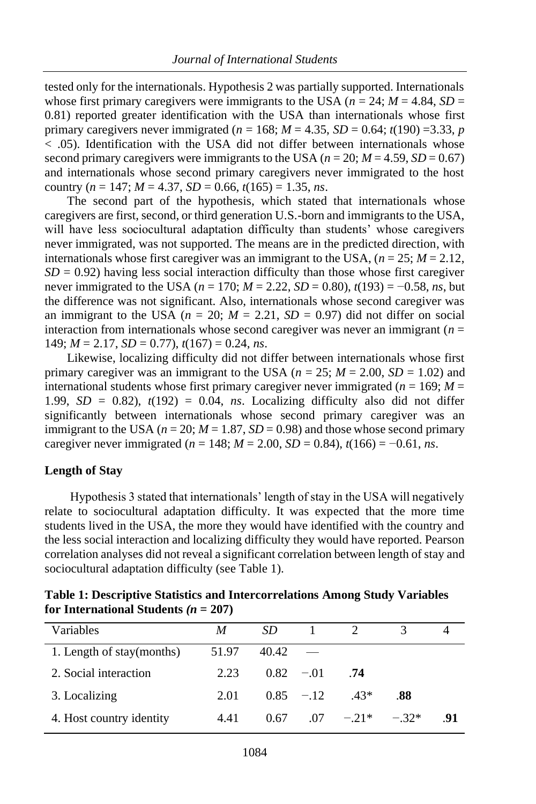tested only for the internationals. Hypothesis 2 was partially supported. Internationals whose first primary caregivers were immigrants to the USA ( $n = 24$ ;  $M = 4.84$ ,  $SD =$ 0.81) reported greater identification with the USA than internationals whose first primary caregivers never immigrated ( $n = 168$ ;  $M = 4.35$ ,  $SD = 0.64$ ;  $t(190) = 3.33$ ,  $p = 0.64$ < .05). Identification with the USA did not differ between internationals whose second primary caregivers were immigrants to the USA ( $n = 20$ ;  $M = 4.59$ ,  $SD = 0.67$ ) and internationals whose second primary caregivers never immigrated to the host country ( $n = 147$ ;  $M = 4.37$ ,  $SD = 0.66$ ,  $t(165) = 1.35$ ,  $ns$ .

The second part of the hypothesis, which stated that internationals whose caregivers are first, second, or third generation U.S.-born and immigrants to the USA, will have less sociocultural adaptation difficulty than students' whose caregivers never immigrated, was not supported. The means are in the predicted direction, with internationals whose first caregiver was an immigrant to the USA,  $(n = 25; M = 2.12,$  $SD = 0.92$ ) having less social interaction difficulty than those whose first caregiver never immigrated to the USA (*n* = 170; *M* = 2.22, *SD* = 0.80), *t*(193) = −0.58, *ns*, but the difference was not significant. Also, internationals whose second caregiver was an immigrant to the USA ( $n = 20$ ;  $M = 2.21$ ,  $SD = 0.97$ ) did not differ on social interaction from internationals whose second caregiver was never an immigrant (*n* = 149; *M* = 2.17, *SD* = 0.77), *t*(167) = 0.24, *ns*.

Likewise, localizing difficulty did not differ between internationals whose first primary caregiver was an immigrant to the USA ( $n = 25$ ;  $M = 2.00$ ,  $SD = 1.02$ ) and international students whose first primary caregiver never immigrated ( $n = 169$ ;  $M =$ 1.99,  $SD = 0.82$ ),  $t(192) = 0.04$ , *ns*. Localizing difficulty also did not differ significantly between internationals whose second primary caregiver was an immigrant to the USA ( $n = 20$ ;  $M = 1.87$ ,  $SD = 0.98$ ) and those whose second primary caregiver never immigrated ( $n = 148$ ;  $M = 2.00$ ,  $SD = 0.84$ ),  $t(166) = -0.61$ , *ns*.

## **Length of Stay**

Hypothesis 3 stated that internationals' length of stay in the USA will negatively relate to sociocultural adaptation difficulty. It was expected that the more time students lived in the USA, the more they would have identified with the country and the less social interaction and localizing difficulty they would have reported. Pearson correlation analyses did not reveal a significant correlation between length of stay and sociocultural adaptation difficulty (see Table 1).

| <b>Table 1: Descriptive Statistics and Intercorrelations Among Study Variables</b> |
|------------------------------------------------------------------------------------|
| for International Students ( $n = 207$ )                                           |

| Variables                 | M     | SD.         |             |              |        |     |
|---------------------------|-------|-------------|-------------|--------------|--------|-----|
| 1. Length of stay(months) | 51.97 | 40.42       |             |              |        |     |
| 2. Social interaction     | 2.23  | $0.82 - 01$ |             | .74          |        |     |
| 3. Localizing             | 2.01  |             | $0.85 - 12$ | $.43*$       | .88    |     |
| 4. Host country identity  | 4.41  | 0.67        |             | $.07 - .21*$ | $-32*$ | -91 |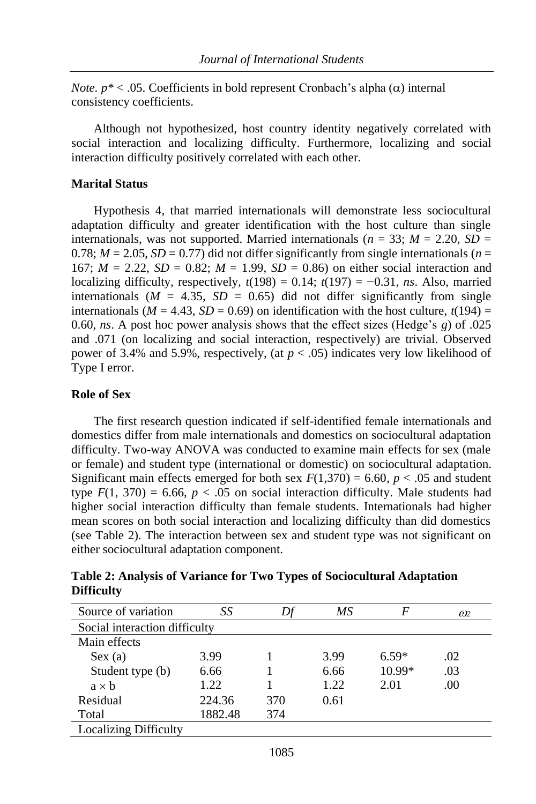*Note.*  $p^* < .05$ . Coefficients in bold represent Cronbach's alpha  $(\alpha)$  internal consistency coefficients.

Although not hypothesized, host country identity negatively correlated with social interaction and localizing difficulty. Furthermore, localizing and social interaction difficulty positively correlated with each other.

## **Marital Status**

Hypothesis 4, that married internationals will demonstrate less sociocultural adaptation difficulty and greater identification with the host culture than single internationals, was not supported. Married internationals ( $n = 33$ ;  $M = 2.20$ ,  $SD =$  $0.78$ ;  $M = 2.05$ ,  $SD = 0.77$ ) did not differ significantly from single internationals ( $n =$ 167;  $M = 2.22$ ,  $SD = 0.82$ ;  $M = 1.99$ ,  $SD = 0.86$ ) on either social interaction and localizing difficulty, respectively,  $t(198) = 0.14$ ;  $t(197) = -0.31$ , *ns*. Also, married internationals ( $M = 4.35$ ,  $SD = 0.65$ ) did not differ significantly from single internationals ( $M = 4.43$ ,  $SD = 0.69$ ) on identification with the host culture,  $t(194) =$ 0.60, *ns*. A post hoc power analysis shows that the effect sizes (Hedge's *g*) of .025 and .071 (on localizing and social interaction, respectively) are trivial. Observed power of 3.4% and 5.9%, respectively, (at  $p < .05$ ) indicates very low likelihood of Type I error.

## **Role of Sex**

The first research question indicated if self-identified female internationals and domestics differ from male internationals and domestics on sociocultural adaptation difficulty. Two-way ANOVA was conducted to examine main effects for sex (male or female) and student type (international or domestic) on sociocultural adaptation. Significant main effects emerged for both sex  $F(1,370) = 6.60$ ,  $p < .05$  and student type  $F(1, 370) = 6.66$ ,  $p < .05$  on social interaction difficulty. Male students had higher social interaction difficulty than female students. Internationals had higher mean scores on both social interaction and localizing difficulty than did domestics (see Table 2). The interaction between sex and student type was not significant on either sociocultural adaptation component.

| Source of variation           | SS      |     | МS   | F        | $\omega$ |
|-------------------------------|---------|-----|------|----------|----------|
| Social interaction difficulty |         |     |      |          |          |
| Main effects                  |         |     |      |          |          |
| Sex(a)                        | 3.99    |     | 3.99 | $6.59*$  | .02      |
| Student type (b)              | 6.66    |     | 6.66 | $10.99*$ | .03      |
| $a \times b$                  | 1.22    |     | 1.22 | 2.01     | .00      |
| Residual                      | 224.36  | 370 | 0.61 |          |          |
| Total                         | 1882.48 | 374 |      |          |          |
| <b>Localizing Difficulty</b>  |         |     |      |          |          |

**Table 2: Analysis of Variance for Two Types of Sociocultural Adaptation Difficulty**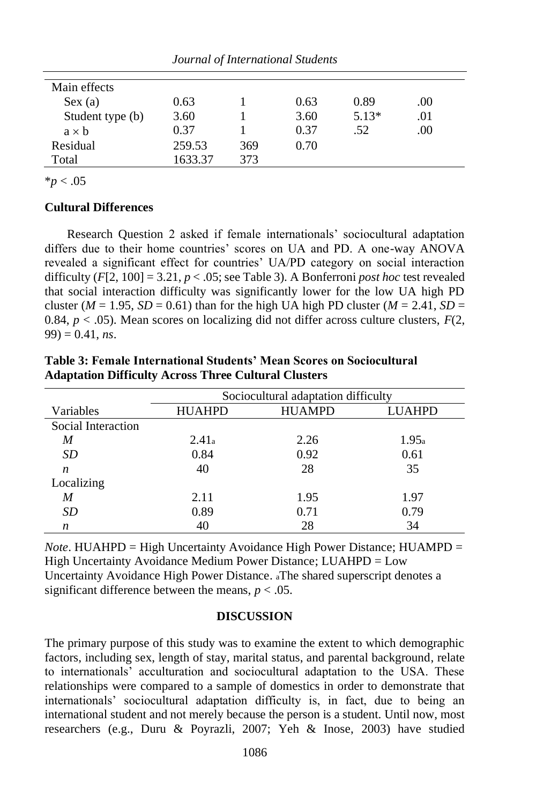| Journal of International Students |         |     |      |         |      |  |
|-----------------------------------|---------|-----|------|---------|------|--|
|                                   |         |     |      |         |      |  |
| Main effects                      |         |     |      |         |      |  |
| Sex(a)                            | 0.63    |     | 0.63 | 0.89    | .00  |  |
| Student type (b)                  | 3.60    |     | 3.60 | $5.13*$ | .01  |  |
| $a \times b$                      | 0.37    |     | 0.37 | .52     | .00. |  |
| Residual                          | 259.53  | 369 | 0.70 |         |      |  |
| Total                             | 1633.37 | 373 |      |         |      |  |

 $*_{p}$  < .05

## **Cultural Differences**

Research Question 2 asked if female internationals' sociocultural adaptation differs due to their home countries' scores on UA and PD. A one-way ANOVA revealed a significant effect for countries' UA/PD category on social interaction difficulty  $(F[2, 100] = 3.21, p < .05$ ; see Table 3). A Bonferroni *post hoc* test revealed that social interaction difficulty was significantly lower for the low UA high PD cluster ( $M = 1.95$ ,  $SD = 0.61$ ) than for the high UA high PD cluster ( $M = 2.41$ ,  $SD =$ 0.84,  $p < .05$ ). Mean scores on localizing did not differ across culture clusters,  $F(2, 1)$  $99$ ) = 0.41, *ns*.

|                    | Sociocultural adaptation difficulty |               |        |  |  |  |
|--------------------|-------------------------------------|---------------|--------|--|--|--|
| Variables          | <b>HUAHPD</b>                       | <b>HUAMPD</b> | LUAHPD |  |  |  |
| Social Interaction |                                     |               |        |  |  |  |
| M                  | 2.41a                               | 2.26          | 1.95a  |  |  |  |
| SD                 | 0.84                                | 0.92          | 0.61   |  |  |  |
| n                  | 40                                  | 28            | 35     |  |  |  |
| Localizing         |                                     |               |        |  |  |  |
| M                  | 2.11                                | 1.95          | 1.97   |  |  |  |
| SD                 | 0.89                                | 0.71          | 0.79   |  |  |  |
| n                  | 40                                  | 28            | 34     |  |  |  |

**Table 3: Female International Students' Mean Scores on Sociocultural Adaptation Difficulty Across Three Cultural Clusters**

*Note*. HUAHPD = High Uncertainty Avoidance High Power Distance; HUAMPD = High Uncertainty Avoidance Medium Power Distance; LUAHPD = Low Uncertainty Avoidance High Power Distance. <sup>a</sup>The shared superscript denotes a significant difference between the means,  $p < .05$ .

## **DISCUSSION**

The primary purpose of this study was to examine the extent to which demographic factors, including sex, length of stay, marital status, and parental background, relate to internationals' acculturation and sociocultural adaptation to the USA. These relationships were compared to a sample of domestics in order to demonstrate that internationals' sociocultural adaptation difficulty is, in fact, due to being an international student and not merely because the person is a student. Until now, most researchers (e.g., Duru & Poyrazli, 2007; Yeh & Inose, 2003) have studied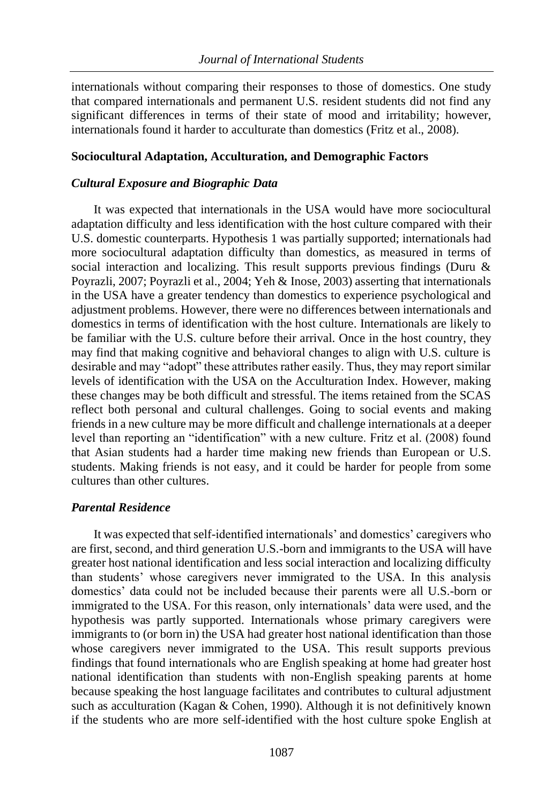internationals without comparing their responses to those of domestics. One study that compared internationals and permanent U.S. resident students did not find any significant differences in terms of their state of mood and irritability; however, internationals found it harder to acculturate than domestics (Fritz et al., 2008).

#### **Sociocultural Adaptation, Acculturation, and Demographic Factors**

## *Cultural Exposure and Biographic Data*

It was expected that internationals in the USA would have more sociocultural adaptation difficulty and less identification with the host culture compared with their U.S. domestic counterparts. Hypothesis 1 was partially supported; internationals had more sociocultural adaptation difficulty than domestics, as measured in terms of social interaction and localizing. This result supports previous findings (Duru & Poyrazli, 2007; Poyrazli et al., 2004; Yeh & Inose, 2003) asserting that internationals in the USA have a greater tendency than domestics to experience psychological and adjustment problems. However, there were no differences between internationals and domestics in terms of identification with the host culture. Internationals are likely to be familiar with the U.S. culture before their arrival. Once in the host country, they may find that making cognitive and behavioral changes to align with U.S. culture is desirable and may "adopt" these attributes rather easily. Thus, they may report similar levels of identification with the USA on the Acculturation Index. However, making these changes may be both difficult and stressful. The items retained from the SCAS reflect both personal and cultural challenges. Going to social events and making friends in a new culture may be more difficult and challenge internationals at a deeper level than reporting an "identification" with a new culture. Fritz et al. (2008) found that Asian students had a harder time making new friends than European or U.S. students. Making friends is not easy, and it could be harder for people from some cultures than other cultures.

## *Parental Residence*

It was expected that self-identified internationals' and domestics' caregivers who are first, second, and third generation U.S.-born and immigrants to the USA will have greater host national identification and less social interaction and localizing difficulty than students' whose caregivers never immigrated to the USA. In this analysis domestics' data could not be included because their parents were all U.S.-born or immigrated to the USA. For this reason, only internationals' data were used, and the hypothesis was partly supported. Internationals whose primary caregivers were immigrants to (or born in) the USA had greater host national identification than those whose caregivers never immigrated to the USA. This result supports previous findings that found internationals who are English speaking at home had greater host national identification than students with non-English speaking parents at home because speaking the host language facilitates and contributes to cultural adjustment such as acculturation (Kagan & Cohen, 1990). Although it is not definitively known if the students who are more self-identified with the host culture spoke English at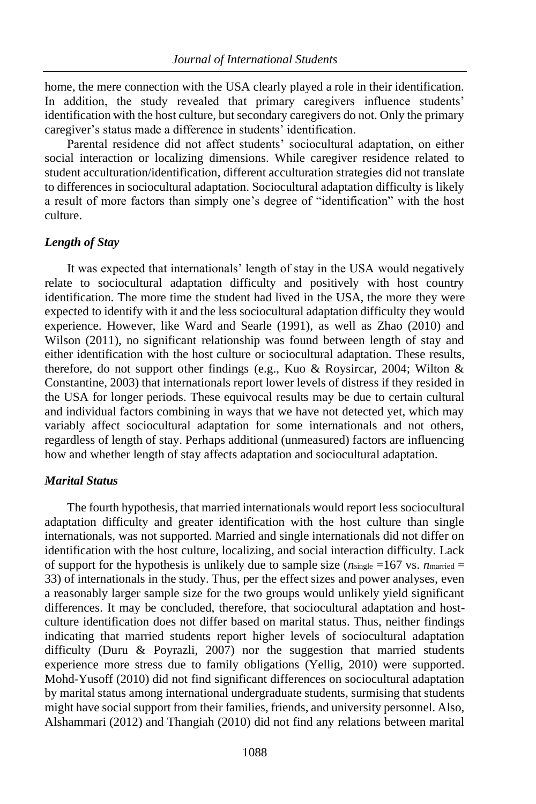home, the mere connection with the USA clearly played a role in their identification. In addition, the study revealed that primary caregivers influence students' identification with the host culture, but secondary caregivers do not. Only the primary caregiver's status made a difference in students' identification.

Parental residence did not affect students' sociocultural adaptation, on either social interaction or localizing dimensions. While caregiver residence related to student acculturation/identification, different acculturation strategies did not translate to differences in sociocultural adaptation. Sociocultural adaptation difficulty is likely a result of more factors than simply one's degree of "identification" with the host culture.

## *Length of Stay*

It was expected that internationals' length of stay in the USA would negatively relate to sociocultural adaptation difficulty and positively with host country identification. The more time the student had lived in the USA, the more they were expected to identify with it and the less sociocultural adaptation difficulty they would experience. However, like Ward and Searle (1991), as well as Zhao (2010) and Wilson (2011), no significant relationship was found between length of stay and either identification with the host culture or sociocultural adaptation. These results, therefore, do not support other findings (e.g., Kuo & Roysircar, 2004; Wilton & Constantine, 2003) that internationals report lower levels of distress if they resided in the USA for longer periods. These equivocal results may be due to certain cultural and individual factors combining in ways that we have not detected yet, which may variably affect sociocultural adaptation for some internationals and not others, regardless of length of stay. Perhaps additional (unmeasured) factors are influencing how and whether length of stay affects adaptation and sociocultural adaptation.

## *Marital Status*

The fourth hypothesis, that married internationals would report less sociocultural adaptation difficulty and greater identification with the host culture than single internationals, was not supported. Married and single internationals did not differ on identification with the host culture, localizing, and social interaction difficulty. Lack of support for the hypothesis is unlikely due to sample size ( $n_{single} = 167$  vs.  $n_{martied} =$ 33) of internationals in the study. Thus, per the effect sizes and power analyses, even a reasonably larger sample size for the two groups would unlikely yield significant differences. It may be concluded, therefore, that sociocultural adaptation and hostculture identification does not differ based on marital status. Thus, neither findings indicating that married students report higher levels of sociocultural adaptation difficulty (Duru & Poyrazli, 2007) nor the suggestion that married students experience more stress due to family obligations (Yellig, 2010) were supported. Mohd-Yusoff (2010) did not find significant differences on sociocultural adaptation by marital status among international undergraduate students, surmising that students might have social support from their families, friends, and university personnel. Also, Alshammari (2012) and Thangiah (2010) did not find any relations between marital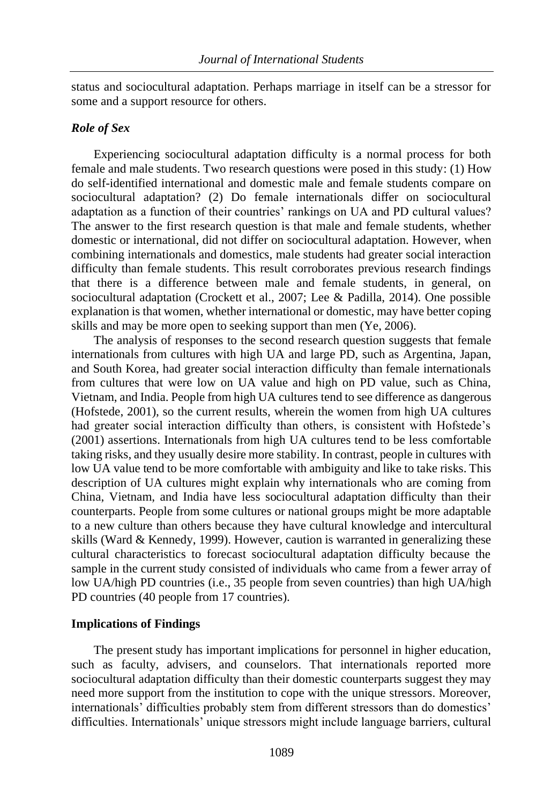status and sociocultural adaptation. Perhaps marriage in itself can be a stressor for some and a support resource for others.

#### *Role of Sex*

Experiencing sociocultural adaptation difficulty is a normal process for both female and male students. Two research questions were posed in this study: (1) How do self-identified international and domestic male and female students compare on sociocultural adaptation? (2) Do female internationals differ on sociocultural adaptation as a function of their countries' rankings on UA and PD cultural values? The answer to the first research question is that male and female students, whether domestic or international, did not differ on sociocultural adaptation. However, when combining internationals and domestics, male students had greater social interaction difficulty than female students. This result corroborates previous research findings that there is a difference between male and female students, in general, on sociocultural adaptation (Crockett et al., 2007; Lee & Padilla, 2014). One possible explanation is that women, whether international or domestic, may have better coping skills and may be more open to seeking support than men (Ye, 2006).

The analysis of responses to the second research question suggests that female internationals from cultures with high UA and large PD, such as Argentina, Japan, and South Korea, had greater social interaction difficulty than female internationals from cultures that were low on UA value and high on PD value, such as China, Vietnam, and India. People from high UA cultures tend to see difference as dangerous (Hofstede, 2001), so the current results, wherein the women from high UA cultures had greater social interaction difficulty than others, is consistent with Hofstede's (2001) assertions. Internationals from high UA cultures tend to be less comfortable taking risks, and they usually desire more stability. In contrast, people in cultures with low UA value tend to be more comfortable with ambiguity and like to take risks. This description of UA cultures might explain why internationals who are coming from China, Vietnam, and India have less sociocultural adaptation difficulty than their counterparts. People from some cultures or national groups might be more adaptable to a new culture than others because they have cultural knowledge and intercultural skills (Ward & Kennedy, 1999). However, caution is warranted in generalizing these cultural characteristics to forecast sociocultural adaptation difficulty because the sample in the current study consisted of individuals who came from a fewer array of low UA/high PD countries (i.e., 35 people from seven countries) than high UA/high PD countries (40 people from 17 countries).

#### **Implications of Findings**

The present study has important implications for personnel in higher education, such as faculty, advisers, and counselors. That internationals reported more sociocultural adaptation difficulty than their domestic counterparts suggest they may need more support from the institution to cope with the unique stressors. Moreover, internationals' difficulties probably stem from different stressors than do domestics' difficulties. Internationals' unique stressors might include language barriers, cultural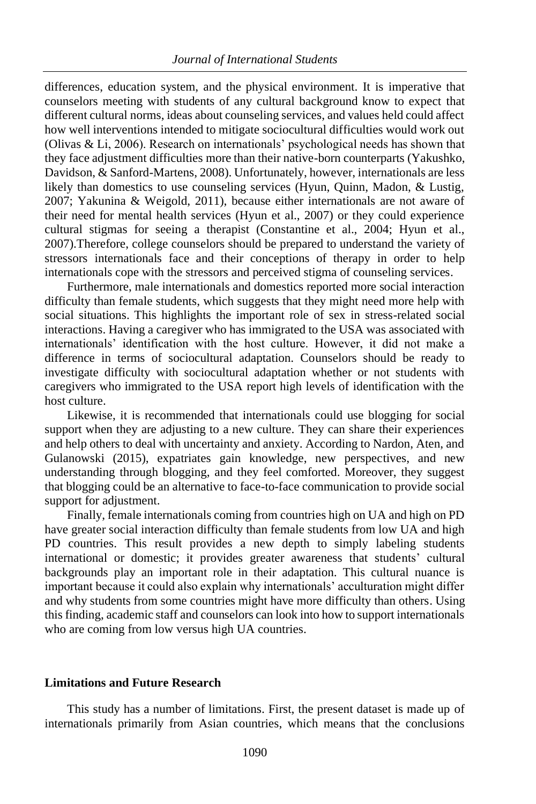differences, education system, and the physical environment. It is imperative that counselors meeting with students of any cultural background know to expect that different cultural norms, ideas about counseling services, and values held could affect how well interventions intended to mitigate sociocultural difficulties would work out (Olivas & Li, 2006). Research on internationals' psychological needs has shown that they face adjustment difficulties more than their native-born counterparts (Yakushko, Davidson, & Sanford-Martens, 2008). Unfortunately, however, internationals are less likely than domestics to use counseling services (Hyun, Quinn, Madon, & Lustig, 2007; Yakunina & Weigold, 2011), because either internationals are not aware of their need for mental health services (Hyun et al., 2007) or they could experience cultural stigmas for seeing a therapist (Constantine et al., 2004; Hyun et al., 2007).Therefore, college counselors should be prepared to understand the variety of stressors internationals face and their conceptions of therapy in order to help internationals cope with the stressors and perceived stigma of counseling services.

Furthermore, male internationals and domestics reported more social interaction difficulty than female students, which suggests that they might need more help with social situations. This highlights the important role of sex in stress-related social interactions. Having a caregiver who has immigrated to the USA was associated with internationals' identification with the host culture. However, it did not make a difference in terms of sociocultural adaptation. Counselors should be ready to investigate difficulty with sociocultural adaptation whether or not students with caregivers who immigrated to the USA report high levels of identification with the host culture.

Likewise, it is recommended that internationals could use blogging for social support when they are adjusting to a new culture. They can share their experiences and help others to deal with uncertainty and anxiety. According to Nardon, Aten, and Gulanowski (2015), expatriates gain knowledge, new perspectives, and new understanding through blogging, and they feel comforted. Moreover, they suggest that blogging could be an alternative to face-to-face communication to provide social support for adjustment.

Finally, female internationals coming from countries high on UA and high on PD have greater social interaction difficulty than female students from low UA and high PD countries. This result provides a new depth to simply labeling students international or domestic; it provides greater awareness that students' cultural backgrounds play an important role in their adaptation. This cultural nuance is important because it could also explain why internationals' acculturation might differ and why students from some countries might have more difficulty than others. Using this finding, academic staff and counselors can look into how to support internationals who are coming from low versus high UA countries.

#### **Limitations and Future Research**

This study has a number of limitations. First, the present dataset is made up of internationals primarily from Asian countries, which means that the conclusions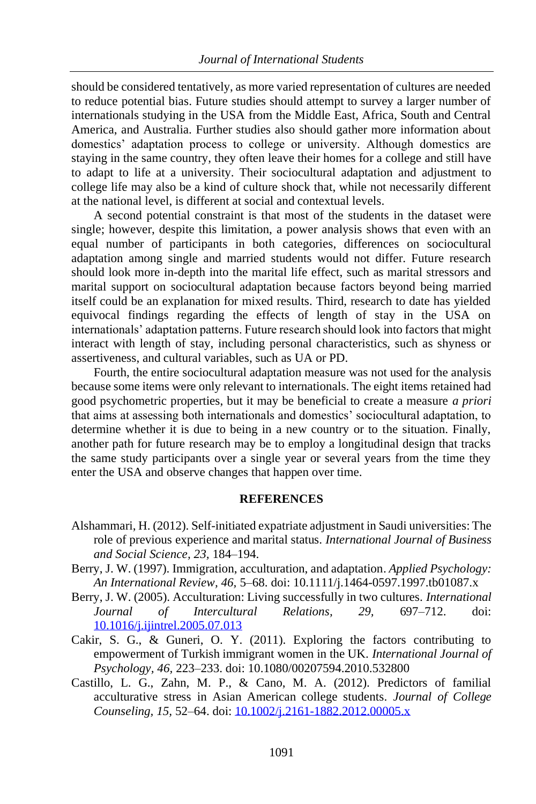should be considered tentatively, as more varied representation of cultures are needed to reduce potential bias. Future studies should attempt to survey a larger number of internationals studying in the USA from the Middle East, Africa, South and Central America, and Australia. Further studies also should gather more information about domestics' adaptation process to college or university. Although domestics are staying in the same country, they often leave their homes for a college and still have to adapt to life at a university. Their sociocultural adaptation and adjustment to college life may also be a kind of culture shock that, while not necessarily different at the national level, is different at social and contextual levels.

A second potential constraint is that most of the students in the dataset were single; however, despite this limitation, a power analysis shows that even with an equal number of participants in both categories, differences on sociocultural adaptation among single and married students would not differ. Future research should look more in-depth into the marital life effect, such as marital stressors and marital support on sociocultural adaptation because factors beyond being married itself could be an explanation for mixed results. Third, research to date has yielded equivocal findings regarding the effects of length of stay in the USA on internationals' adaptation patterns. Future research should look into factors that might interact with length of stay, including personal characteristics, such as shyness or assertiveness, and cultural variables, such as UA or PD.

Fourth, the entire sociocultural adaptation measure was not used for the analysis because some items were only relevant to internationals. The eight items retained had good psychometric properties, but it may be beneficial to create a measure *a priori* that aims at assessing both internationals and domestics' sociocultural adaptation, to determine whether it is due to being in a new country or to the situation. Finally, another path for future research may be to employ a longitudinal design that tracks the same study participants over a single year or several years from the time they enter the USA and observe changes that happen over time.

#### **REFERENCES**

- Alshammari, H. (2012). Self-initiated expatriate adjustment in Saudi universities: The role of previous experience and marital status. *International Journal of Business and Social Science, 23,* 184–194.
- Berry, J. W. (1997). Immigration, acculturation, and adaptation. *Applied Psychology: An International Review, 46,* 5–68. doi: 10.1111/j.1464-0597.1997.tb01087.x
- Berry, J. W. (2005). Acculturation: Living successfully in two cultures. *International Journal of Intercultural Relations, 29,* 697–712. doi: [10.1016/j.ijintrel.2005.07.013](http://dx.doi.org/10.1016/j.ijintrel.2005.07.013)
- Cakir, S. G., & Guneri, O. Y. (2011). Exploring the factors contributing to empowerment of Turkish immigrant women in the UK. *International Journal of Psychology, 46,* 223–233. doi: 10.1080/00207594.2010.532800
- Castillo, L. G., Zahn, M. P., & Cano, M. A. (2012). Predictors of familial acculturative stress in Asian American college students. *Journal of College Counseling, 15,* 52–64. doi: [10.1002/j.2161-1882.2012.00005.x](https://psycnet.apa.org/doi/10.1002/j.2161-1882.2012.00005.x)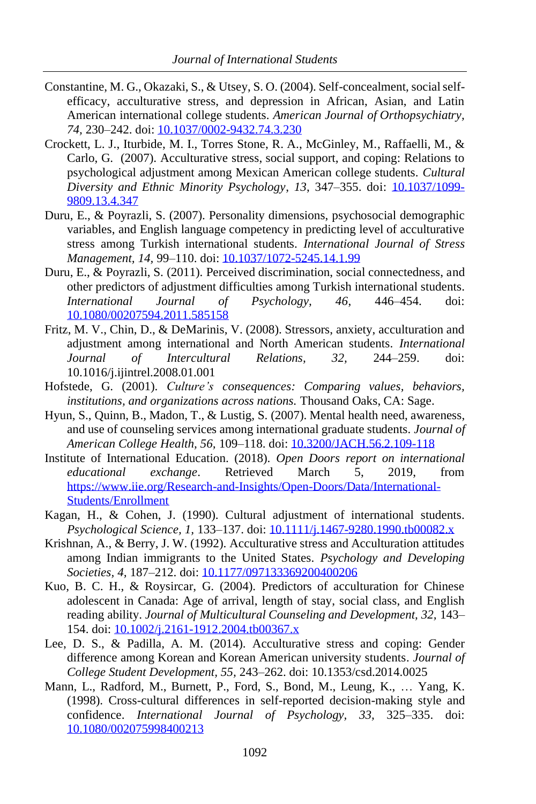- Constantine, M. G., Okazaki, S., & Utsey, S. O. (2004). Self-concealment, social selfefficacy, acculturative stress, and depression in African, Asian, and Latin American international college students*. American Journal of Orthopsychiatry, 74,* 230–242. doi: [10.1037/0002-9432.74.3.230](https://doi.org/10.1037/0002-9432.74.3.230)
- Crockett, L. J., Iturbide, M. I., Torres Stone, R. A., McGinley, M., Raffaelli, M., & Carlo, G. (2007). Acculturative stress, social support, and coping: Relations to psychological adjustment among Mexican American college students. *Cultural Diversity and Ethnic Minority Psychology*, *13*, 347–355. doi: [10.1037/1099-](https://doi.org/10.1037/1099-9809.13.4.347) [9809.13.4.347](https://doi.org/10.1037/1099-9809.13.4.347)
- Duru, E., & Poyrazli, S. (2007). Personality dimensions, psychosocial demographic variables, and English language competency in predicting level of acculturative stress among Turkish international students. *International Journal of Stress Management, 14,* 99–110. doi: [10.1037/1072-5245.14.1.99](https://doi.org/10.1037/1072-5245.14.1.99)
- Duru, E., & Poyrazli, S. (2011). Perceived discrimination, social connectedness, and other predictors of adjustment difficulties among Turkish international students. *International Journal of Psychology, 46*, 446–454. doi: [10.1080/00207594.2011.585158](https://doi.org/10.1080/00207594.2011.585158)
- Fritz, M. V., Chin, D., & DeMarinis, V. (2008). Stressors, anxiety, acculturation and adjustment among international and North American students. *International Journal of Intercultural Relations, 32,* 244–259. doi: 10.1016/j.ijintrel.2008.01.001
- Hofstede, G. (2001). *Culture's consequences: Comparing values, behaviors, institutions, and organizations across nations.* Thousand Oaks, CA: Sage.
- Hyun, S., Quinn, B., Madon, T., & Lustig, S. (2007). Mental health need, awareness, and use of counseling services among international graduate students. *Journal of American College Health, 56,* 109–118. doi[: 10.3200/JACH.56.2.109-118](https://doi.org/10.3200/JACH.56.2.109-118)
- Institute of International Education. (2018). *Open Doors report on international educational exchange*. Retrieved March 5, 2019, from [https://www.iie.org/Research-and-Insights/Open-Doors/Data/International-](https://www.iie.org/Research-and-Insights/Open-Doors/Data/International-Students/Enrollment)[Students/Enrollment](https://www.iie.org/Research-and-Insights/Open-Doors/Data/International-Students/Enrollment)
- Kagan, H., & Cohen, J. (1990). Cultural adjustment of international students. *Psychological Science, 1,* 133–137. doi[: 10.1111/j.1467-9280.1990.tb00082.x](https://doi.org/10.1111%2Fj.1467-9280.1990.tb00082.x)
- Krishnan, A., & Berry, J. W. (1992). Acculturative stress and Acculturation attitudes among Indian immigrants to the United States. *Psychology and Developing Societies, 4,* 187–212. doi: [10.1177/097133369200400206](https://doi.org/10.1177%2F097133369200400206)
- Kuo, B. C. H., & Roysircar, G. (2004). Predictors of acculturation for Chinese adolescent in Canada: Age of arrival, length of stay, social class, and English reading ability. *Journal of Multicultural Counseling and Development, 32,* 143– 154. doi: [10.1002/j.2161-1912.2004.tb00367.x](https://psycnet.apa.org/doi/10.1002/j.2161-1912.2004.tb00367.x)
- Lee, D. S., & Padilla, A. M. (2014). Acculturative stress and coping: Gender difference among Korean and Korean American university students*. Journal of College Student Development, 55,* 243–262. doi: 10.1353/csd.2014.0025
- Mann, L., Radford, M., Burnett, P., Ford, S., Bond, M., Leung, K., … Yang, K. (1998). Cross-cultural differences in self-reported decision-making style and confidence. *International Journal of Psychology, 33,* 325–335. doi: [10.1080/002075998400213](https://doi.org/10.1080/002075998400213)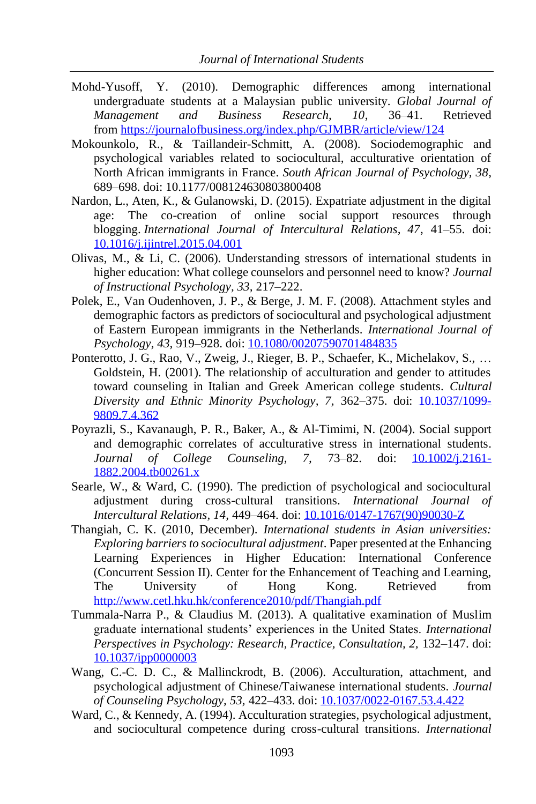- Mohd-Yusoff, Y. (2010). Demographic differences among international undergraduate students at a Malaysian public university. *Global Journal of Management and Business Research, 10*, 36–41. Retrieved from <https://journalofbusiness.org/index.php/GJMBR/article/view/124>
- Mokounkolo, R., & Taillandeir-Schmitt, A. (2008). Sociodemographic and psychological variables related to sociocultural, acculturative orientation of North African immigrants in France. *South African Journal of Psychology, 38*, 689–698. doi: 10.1177/008124630803800408
- Nardon, L., Aten, K., & Gulanowski, D. (2015). Expatriate adjustment in the digital age: The co-creation of online social support resources through blogging. *International Journal of Intercultural Relations, 47*, 41–55. doi: [10.1016/j.ijintrel.2015.04.001](https://doi.org/10.1016/j.ijintrel.2015.04.001)
- Olivas, M., & Li, C. (2006). Understanding stressors of international students in higher education: What college counselors and personnel need to know? *Journal of Instructional Psychology, 33,* 217–222.
- Polek, E., Van Oudenhoven, J. P., & Berge, J. M. F. (2008). Attachment styles and demographic factors as predictors of sociocultural and psychological adjustment of Eastern European immigrants in the Netherlands. *International Journal of Psychology, 43,* 919–928. doi: [10.1080/00207590701484835](https://doi.org/10.1080/00207590701484835)
- Ponterotto, J. G., Rao, V., Zweig, J., Rieger, B. P., Schaefer, K., Michelakov, S., … Goldstein, H. (2001). The relationship of acculturation and gender to attitudes toward counseling in Italian and Greek American college students. *Cultural Diversity and Ethnic Minority Psychology, 7,* 362–375. doi: [10.1037/1099-](https://psycnet.apa.org/doi/10.1037/1099-9809.7.4.362) [9809.7.4.362](https://psycnet.apa.org/doi/10.1037/1099-9809.7.4.362)
- Poyrazli, S., Kavanaugh, P. R., Baker, A., & Al-Timimi, N. (2004). Social support and demographic correlates of acculturative stress in international students*. Journal of College Counseling, 7,* 73–82. doi: [10.1002/j.2161-](https://psycnet.apa.org/doi/10.1002/j.2161-1882.2004.tb00261.x) [1882.2004.tb00261.x](https://psycnet.apa.org/doi/10.1002/j.2161-1882.2004.tb00261.x)
- Searle, W., & Ward, C. (1990). The prediction of psychological and sociocultural adjustment during cross-cultural transitions. *International Journal of Intercultural Relations, 14,* 449–464. doi: [10.1016/0147-1767\(90\)90030-Z](https://doi.org/10.1016/0147-1767(90)90030-Z)
- Thangiah, C. K. (2010, December). *International students in Asian universities: Exploring barriers to sociocultural adjustment*. Paper presented at the Enhancing Learning Experiences in Higher Education: International Conference (Concurrent Session II). Center for the Enhancement of Teaching and Learning, The University of Hong Kong. Retrieved from <http://www.cetl.hku.hk/conference2010/pdf/Thangiah.pdf>
- Tummala-Narra P., & Claudius M. (2013). A qualitative examination of Muslim graduate international students' experiences in the United States. *International Perspectives in Psychology: Research, Practice, Consultation, 2, 132–147. doi:* [10.1037/ipp0000003](https://psycnet.apa.org/doi/10.1037/ipp0000003)
- Wang, C.-C. D. C., & Mallinckrodt, B. (2006). Acculturation, attachment, and psychological adjustment of Chinese/Taiwanese international students. *Journal of Counseling Psychology, 53,* 422–433. doi: [10.1037/0022-0167.53.4.422](https://psycnet.apa.org/doi/10.1037/0022-0167.53.4.422)
- Ward, C., & Kennedy, A. (1994). Acculturation strategies, psychological adjustment, and sociocultural competence during cross-cultural transitions. *International*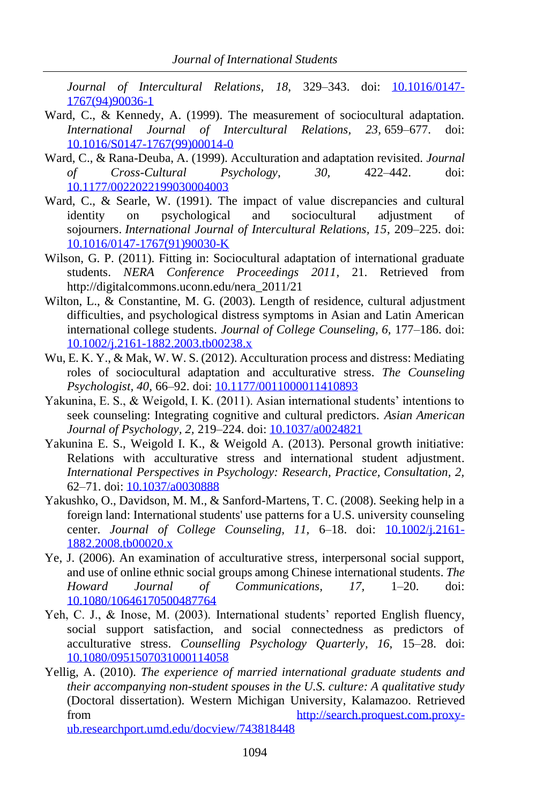*Journal of Intercultural Relations, 18,* 329–343. doi: [10.1016/0147-](https://doi.org/10.1016/0147-1767(94)90036-1) [1767\(94\)90036-1](https://doi.org/10.1016/0147-1767(94)90036-1)

- Ward, C., & Kennedy, A. (1999). The measurement of sociocultural adaptation. *International Journal of Intercultural Relations, 23,* 659–677. doi: [10.1016/S0147-1767\(99\)00014-0](https://psycnet.apa.org/doi/10.1016/S0147-1767(99)00014-0)
- Ward, C., & Rana-Deuba, A. (1999). Acculturation and adaptation revisited. *Journal of Cross-Cultural Psychology, 30,* 422–442. doi: [10.1177/0022022199030004003](https://psycnet.apa.org/doi/10.1177/0022022199030004003)
- Ward, C., & Searle, W. (1991). The impact of value discrepancies and cultural identity on psychological and sociocultural adjustment of sojourners. *International Journal of Intercultural Relations, 15*, 209–225. doi: [10.1016/0147-1767\(91\)90030-K](https://psycnet.apa.org/doi/10.1016/0147-1767(91)90030-K)
- Wilson, G. P. (2011). Fitting in: Sociocultural adaptation of international graduate students. *NERA Conference Proceedings 2011*, 21. Retrieved from http://digitalcommons.uconn.edu/nera\_2011/21
- Wilton, L., & Constantine, M. G. (2003). Length of residence, cultural adjustment difficulties, and psychological distress symptoms in Asian and Latin American international college students. *Journal of College Counseling, 6,* 177–186. doi: [10.1002/j.2161-1882.2003.tb00238.x](https://doi.org/10.1002/j.2161-1882.2003.tb00238.x)
- Wu, E. K. Y., & Mak, W. W. S. (2012). Acculturation process and distress: Mediating roles of sociocultural adaptation and acculturative stress. *The Counseling Psychologist, 40,* 66–92. doi: [10.1177/0011000011410893](https://psycnet.apa.org/doi/10.1177/0011000011410893)
- Yakunina, E. S., & Weigold, I. K. (2011). Asian international students' intentions to seek counseling: Integrating cognitive and cultural predictors. *Asian American Journal of Psychology, 2,* 219–224. doi: [10.1037/a0024821](https://psycnet.apa.org/doi/10.1037/a0024821)
- Yakunina E. S., Weigold I. K., & Weigold A. (2013). Personal growth initiative: Relations with acculturative stress and international student adjustment*. International Perspectives in Psychology: Research, Practice, Consultation, 2,* 62–71. doi: [10.1037/a0030888](https://psycnet.apa.org/doi/10.1037/a0030888)
- Yakushko, O., Davidson, M. M., & Sanford-Martens, T. C. (2008). Seeking help in a foreign land: International students' use patterns for a U.S. university counseling center. *Journal of College Counseling, 11,* 6–18. doi: [10.1002/j.2161-](https://psycnet.apa.org/doi/10.1002/j.2161-1882.2008.tb00020.x) [1882.2008.tb00020.x](https://psycnet.apa.org/doi/10.1002/j.2161-1882.2008.tb00020.x)
- Ye, J. (2006). An examination of acculturative stress, interpersonal social support, and use of online ethnic social groups among Chinese international students. *The Howard Journal of Communications, 17,* 1–20. doi: [10.1080/10646170500487764](https://psycnet.apa.org/doi/10.1080/10646170500487764)
- Yeh, C. J., & Inose, M. (2003). International students' reported English fluency, social support satisfaction, and social connectedness as predictors of acculturative stress. *Counselling Psychology Quarterly, 16,* 15–28. doi: [10.1080/0951507031000114058](https://psycnet.apa.org/doi/10.1080/0951507031000114058)
- Yellig, A. (2010). *The experience of married international graduate students and their accompanying non-student spouses in the U.S. culture: A qualitative study* (Doctoral dissertation). Western Michigan University, Kalamazoo. Retrieved from [http://search.proquest.com.proxy](http://search.proquest.com.proxy-ub.researchport.umd.edu/docview/743818448)[ub.researchport.umd.edu/docview/743818448](http://search.proquest.com.proxy-ub.researchport.umd.edu/docview/743818448)